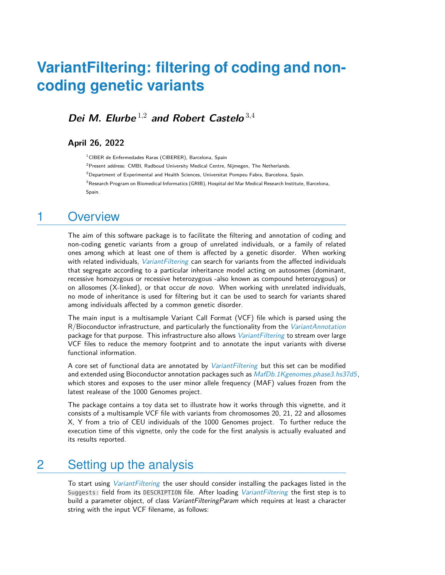### **Dei M. Elurbe** <sup>1</sup>,<sup>2</sup> **and Robert Castelo** <sup>3</sup>,<sup>4</sup>

### **April 26, 2022**

 $1$ CIBER de Enfermedades Raras (CIBERER), Barcelona, Spain

 $2$ Present address: CMBI, Radboud University Medical Centre, Nijmegen, The Netherlands.

 $2$ Department of Experimental and Health Sciences, Universitat Pompeu Fabra, Barcelona, Spain.

 $^3$ Research Program on Biomedical Informatics (GRIB), Hospital del Mar Medical Research Institute, Barcelona, Spain.

### 1 Overview

The aim of this software package is to facilitate the filtering and annotation of coding and non-coding genetic variants from a group of unrelated individuals, or a family of related ones among which at least one of them is affected by a genetic disorder. When working with related individuals, *[VariantFiltering](http://bioconductor.org/packages/VariantFiltering)* can search for variants from the affected individuals that segregate according to a particular inheritance model acting on autosomes (dominant, recessive homozygous or recessive heterozygous -also known as compound heterozygous) or on allosomes (X-linked), or that occur de novo. When working with unrelated individuals, no mode of inheritance is used for filtering but it can be used to search for variants shared among individuals affected by a common genetic disorder.

The main input is a multisample Variant Call Format (VCF) file which is parsed using the  $R/B$ ioconductor infrastructure, and particularly the functionality from the *[VariantAnnotation](http://bioconductor.org/packages/VariantAnnotation)* package for that purpose. This infrastructure also allows *[VariantFiltering](http://bioconductor.org/packages/VariantFiltering)* to stream over large VCF files to reduce the memory footprint and to annotate the input variants with diverse functional information.

A core set of functional data are annotated by *[VariantFiltering](http://bioconductor.org/packages/VariantFiltering)* but this set can be modified and extended using Bioconductor annotation packages such as  $MafDb.1Kgenomes.phase3.hs37d5$ , which stores and exposes to the user minor allele frequency (MAF) values frozen from the latest realease of the 1000 Genomes project.

The package contains a toy data set to illustrate how it works through this vignette, and it consists of a multisample VCF file with variants from chromosomes 20, 21, 22 and allosomes X, Y from a trio of CEU individuals of the 1000 Genomes project. To further reduce the execution time of this vignette, only the code for the first analysis is actually evaluated and its results reported.

### 2 Setting up the analysis

To start using *[VariantFiltering](http://bioconductor.org/packages/VariantFiltering)* the user should consider installing the packages listed in the Suggests: field from its DESCRIPTION file. After loading *[VariantFiltering](http://bioconductor.org/packages/VariantFiltering)* the first step is to build a parameter object, of class VariantFilteringParam which requires at least a character string with the input VCF filename, as follows: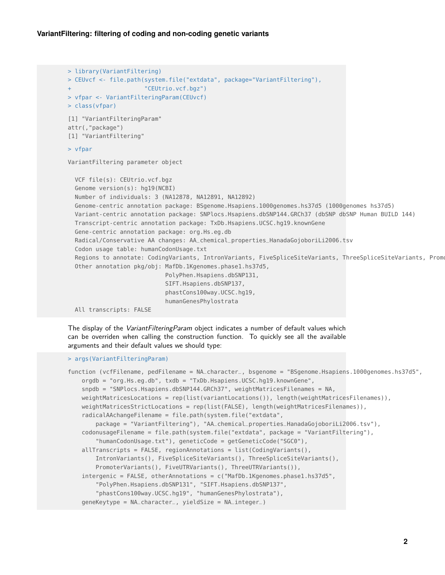```
> library(VariantFiltering)
> CEUvcf <- file.path(system.file("extdata", package="VariantFiltering"),
                      "CEUtrio.vcf.bgz")
> vfpar <- VariantFilteringParam(CEUvcf)
> class(vfpar)
[1] "VariantFilteringParam"
attr(,"package")
[1] "VariantFiltering"
> vfpar
VariantFiltering parameter object
  VCF file(s): CEUtrio.vcf.bgz
  Genome version(s): hg19(NCBI)
  Number of individuals: 3 (NA12878, NA12891, NA12892)
  Genome-centric annotation package: BSgenome.Hsapiens.1000genomes.hs37d5 (1000genomes hs37d5)
  Variant-centric annotation package: SNPlocs.Hsapiens.dbSNP144.GRCh37 (dbSNP dbSNP Human BUILD 144)
  Transcript-centric annotation package: TxDb.Hsapiens.UCSC.hg19.knownGene
  Gene-centric annotation package: org.Hs.eg.db
  Radical/Conservative AA changes: AA_chemical_properties_HanadaGojoboriLi2006.tsv
  Codon usage table: humanCodonUsage.txt
  Regions to annotate: CodingVariants, IntronVariants, FiveSpliceSiteVariants, ThreeSpliceSiteVariants, Promo
  Other annotation pkg/obj: MafDb.1Kgenomes.phase1.hs37d5,
                            PolyPhen.Hsapiens.dbSNP131,
                            SIFT.Hsapiens.dbSNP137,
                            phastCons100way.UCSC.hg19,
                            humanGenesPhylostrata
  All transcripts: FALSE
```
The display of the VariantFilteringParam object indicates a number of default values which can be overriden when calling the construction function. To quickly see all the available arguments and their default values we should type:

```
> args(VariantFilteringParam)
```

```
function (vcfFilename, pedFilename = NA_character_, bsgenome = "BSgenome.Hsapiens.1000genomes.hs37d5",
   orgdb = "org.Hs.eg.db", txdb = "TxDb.Hsapiens.UCSC.hg19.knownGene",
   snpdb = "SNPlocs.Hsapiens.dbSNP144.GRCh37", weightMatricesFilenames = NA,
   weightMatricesLocations = rep(list(variantLocations()), length(weightMatricesFilenames)),
   weightMatricesStrictLocations = rep(list(FALSE), length(weightMatricesFilenames)),
   radicalAAchangeFilename = file.path(system.file("extdata",
       package = "VariantFiltering"), "AA_chemical_properties_HanadaGojoboriLi2006.tsv"),
   codonusageFilename = file.path(system.file("extdata", package = "VariantFiltering"),
        "humanCodonUsage.txt"), geneticCode = getGeneticCode("SGC0"),
   allTranscripts = FALSE, regionAnnotations = list(CodingVariants(),
       IntronVariants(), FiveSpliceSiteVariants(), ThreeSpliceSiteVariants(),
       PromoterVariants(), FiveUTRVariants(), ThreeUTRVariants()),
   intergenic = FALSE, otherAnnotations = c("MafDb.1Kgenomes.phase1.hs37d5""PolyPhen.Hsapiens.dbSNP131", "SIFT.Hsapiens.dbSNP137",
       "phastCons100way.UCSC.hg19", "humanGenesPhylostrata"),
   geneKeytype = NA_character_, yieldSize = NA_integer_)
```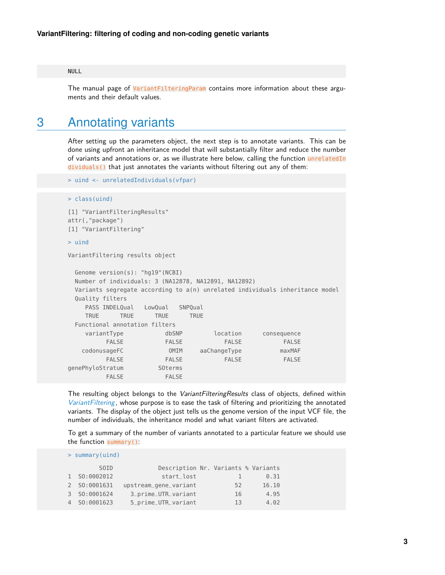#### NULL

The manual page of VariantFilteringParam contains more information about these arguments and their default values.

### 3 Annotating variants

After setting up the parameters object, the next step is to annotate variants. This can be done using upfront an inheritance model that will substantially filter and reduce the number of variants and annotations or, as we illustrate here below, calling the function unrelatedIn dividuals() that just annotates the variants without filtering out any of them:

```
> uind <- unrelatedIndividuals(vfpar)
```

```
> class(uind)
```

```
[1] "VariantFilteringResults"
attr(,"package")
[1] "VariantFiltering"
```

```
> uind
```
VariantFiltering results object

```
Genome version(s): "hg19"(NCBI)
 Number of individuals: 3 (NA12878, NA12891, NA12892)
 Variants segregate according to a(n) unrelated individuals inheritance model
 Quality filters
   PASS INDELQual LowQual SNPQual
   TRUE TRUE TRUE TRUE
 Functional annotation filters
   variantType dbSNP location consequence
       FALSE FALSE FALSE FALSE
  codonusageFC OMIM aaChangeType maxMAF
       FALSE FALSE FALSE FALSE
genePhyloStratum SOterms
       FALSE FALSE
```
The resulting object belongs to the VariantFilteringResults class of objects, defined within [VariantFiltering](http://bioconductor.org/packages/VariantFiltering), whose purpose is to ease the task of filtering and prioritizing the annotated variants. The display of the object just tells us the genome version of the input VCF file, the number of individuals, the inheritance model and what variant filters are activated.

To get a summary of the number of variants annotated to a particular feature we should use the function summary():

|   | $>$ summary (uind)            |                                     |    |       |
|---|-------------------------------|-------------------------------------|----|-------|
|   | S <sub>0</sub> I <sub>D</sub> | Description Nr. Variants % Variants |    |       |
|   | 1 S0:0002012                  | start_lost                          |    | 0.31  |
|   | 2 S0:0001631                  | upstream_gene_variant               | 52 | 16.10 |
| 3 | SO:0001624                    | 3_prime_UTR_variant                 | 16 | 4.95  |
|   | S0:0001623                    | 5_prime_UTR_variant                 | 13 | 4.02  |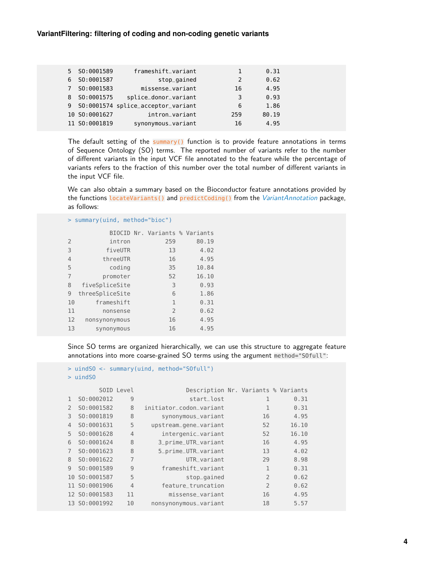|             | 5 S0:0001589  | frameshift_variant                   |     | 0.31  |
|-------------|---------------|--------------------------------------|-----|-------|
| 6           | S0:0001587    | stop_gained                          | 2   | 0.62  |
| $7^{\circ}$ | S0:0001583    | missense_variant                     | 16  | 4.95  |
| 8           | S0:0001575    | splice_donor_variant                 | 3   | 0.93  |
|             |               | 9 S0:0001574 splice_acceptor_variant | 6   | 1.86  |
|             | 10 SO:0001627 | intron_variant                       | 259 | 80.19 |
|             | 11 SO:0001819 | synonymous_variant                   | 16  | 4.95  |

The default setting of the summary() function is to provide feature annotations in terms of Sequence Ontology (SO) terms. The reported number of variants refer to the number of different variants in the input VCF file annotated to the feature while the percentage of variants refers to the fraction of this number over the total number of different variants in the input VCF file.

We can also obtain a summary based on the Bioconductor feature annotations provided by the functions locateVariants() and predictCoding() from the [VariantAnnotation](http://bioconductor.org/packages/VariantAnnotation) package, as follows:

|                | > summary(uind, method="bioc") |                |                                |
|----------------|--------------------------------|----------------|--------------------------------|
|                |                                |                | BIOCID Nr. Variants % Variants |
| $\overline{2}$ | intron                         | 259            | 80.19                          |
| 3              | fiveUTR                        | 13             | 4.02                           |
| $\overline{4}$ | threeUTR                       | 16             | 4.95                           |
| 5              | coding                         | 35             | 10.84                          |
| $\overline{7}$ | promoter                       | 52             | 16.10                          |
| 8              | fiveSpliceSite                 | 3              | 0.93                           |
| 9              | threeSpliceSite                | 6              | 1.86                           |
| 10             | frameshift                     | $\mathbf{1}$   | 0.31                           |
| 11             | nonsense                       | $\overline{2}$ | 0.62                           |
| 12             | nonsynonymous                  | 16             | 4.95                           |
| 13             | synonymous                     | 16             | 4.95                           |
|                |                                |                |                                |

Since SO terms are organized hierarchically, we can use this structure to aggregate feature annotations into more coarse-grained SO terms using the argument method="SOfull":

```
> uindSO <- summary(uind, method="SOfull")
```

```
> uindSO
```

|                |               | SOID Level     | Description Nr. Variants % Variants |                |       |
|----------------|---------------|----------------|-------------------------------------|----------------|-------|
| $\mathbf{1}$   | S0:0002012    | 9              | start lost                          |                | 0.31  |
| $\mathcal{P}$  | SO:0001582    | 8              | initiator_codon_variant             | 1              | 0.31  |
| 3              | SO:0001819    | 8              | synonymous_variant                  | 16             | 4.95  |
| $\overline{4}$ | SO:0001631    | 5              | upstream_gene_variant               | 52             | 16.10 |
| 5              | SO:0001628    | $\overline{4}$ | intergenic_variant                  | 52             | 16.10 |
| 6              | SO:0001624    | 8              | 3_prime_UTR_variant                 | 16             | 4.95  |
| $\overline{7}$ | SO:0001623    | 8              | 5_prime_UTR_variant                 | 13             | 4.02  |
| 8              | SO:0001622    | $\overline{7}$ | UTR variant                         | 29             | 8.98  |
| 9              | S0:0001589    | 9              | frameshift variant                  | 1              | 0.31  |
|                | 10 SO:0001587 | 5              | stop_gained                         | $\mathcal{P}$  | 0.62  |
|                | 11 SO:0001906 | $\overline{4}$ | feature truncation                  | $\overline{2}$ | 0.62  |
|                | 12 SO:0001583 | 11             | missense_variant                    | 16             | 4.95  |
|                | 13 SO:0001992 | 10             | nonsynonymous_variant               | 18             | 5.57  |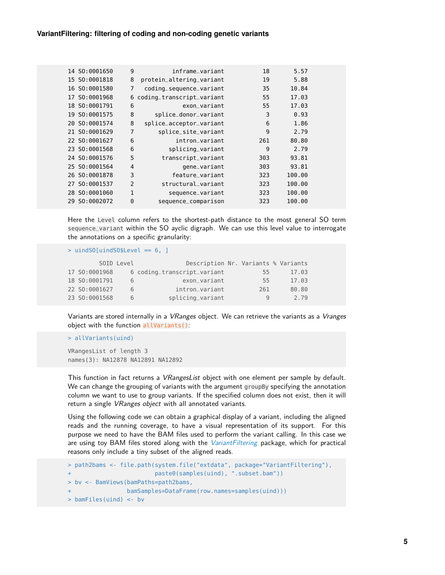|    | 14 SO:0001650 | 9              | inframe variant           | 18  | 5.57   |  |
|----|---------------|----------------|---------------------------|-----|--------|--|
|    | 15 SO:0001818 | 8              | protein_altering_variant  | 19  | 5.88   |  |
| 16 | S0:0001580    | 7              | coding_sequence_variant   | 35  | 10.84  |  |
| 17 | SO:0001968    | 6              | coding_transcript_variant | 55  | 17.03  |  |
|    | 18 SO:0001791 | 6              | exon variant              | 55  | 17.03  |  |
|    | 19 SO:0001575 | 8              | splice_donor_variant      | 3   | 0.93   |  |
|    | 20 SO:0001574 | 8              | splice_acceptor_variant   | 6   | 1.86   |  |
|    | 21 SO:0001629 | 7              | splice_site_variant       | 9   | 2.79   |  |
|    | 22 SO:0001627 | 6              | intron_variant            | 261 | 80.80  |  |
|    | 23 SO:0001568 | 6              | splicing_variant          | 9   | 2.79   |  |
|    | 24 SO:0001576 | 5              | transcript_variant        | 303 | 93.81  |  |
|    | 25 SO:0001564 | $\overline{4}$ | gene_variant              | 303 | 93.81  |  |
|    | 26 SO:0001878 | 3              | feature_variant           | 323 | 100.00 |  |
| 27 | S0:0001537    | $\overline{2}$ | structural variant        | 323 | 100.00 |  |
|    | 28 SO:0001060 | 1              | sequence_variant          | 323 | 100.00 |  |
| 29 | S0:0002072    | $\Theta$       | sequence_comparison       | 323 | 100.00 |  |

Here the Level column refers to the shortest-path distance to the most general SO term sequence\_variant within the SO ayclic digraph. We can use this level value to interrogate the annotations on a specific granularity:

> uindSO[uindSO\$Level == 6, ]

|               | SOID Level | Description Nr. Variants % Variants |     |       |
|---------------|------------|-------------------------------------|-----|-------|
| 17 SO:0001968 |            | 6 coding_transcript_variant         | 55  | 17.03 |
| 18 SO:0001791 | 6          | exon_variant                        | 55  | 17.03 |
| 22 SO:0001627 | 6          | intron_variant                      | 261 | 80.80 |
| 23 SO:0001568 | 6          | splicing_variant                    | q   | 2.79  |

Variants are stored internally in a *VRanges* object. We can retrieve the variants as a *Vranges* object with the function allVariants():

```
> allVariants(uind)
```
VRangesList of length 3 names(3): NA12878 NA12891 NA12892

This function in fact returns a *VRangesList* object with one element per sample by default. We can change the grouping of variants with the argument groupBy specifying the annotation column we want to use to group variants. If the specified column does not exist, then it will return a single VRanges object with all annotated variants.

Using the following code we can obtain a graphical display of a variant, including the aligned reads and the running coverage, to have a visual representation of its support. For this purpose we need to have the BAM files used to perform the variant calling. In this case we are using toy BAM files stored along with the [VariantFiltering](http://bioconductor.org/packages/VariantFiltering) package, which for practical reasons only include a tiny subset of the aligned reads.

```
> path2bams <- file.path(system.file("extdata", package="VariantFiltering"),
                       paste0(samples(uind), ".subset.bam"))
> bv <- BamViews(bamPaths=path2bams,
+ bamSamples=DataFrame(row.names=samples(uind)))
> bamFiles(uind) <- bv
```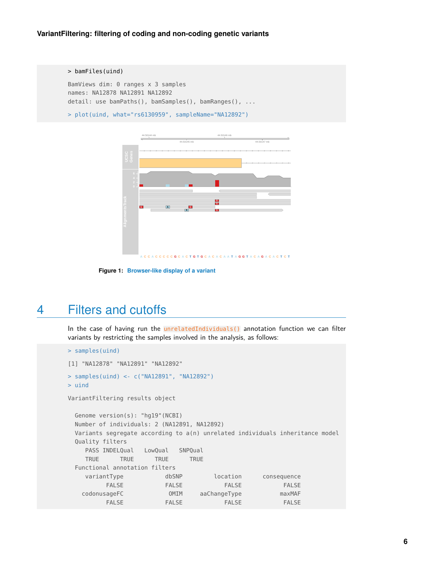```
> bamFiles(uind)
BamViews dim: 0 ranges x 3 samples
names: NA12878 NA12891 NA12892
detail: use bamPaths(), bamSamples(), bamRanges(), ...
```
> plot(uind, what="rs6130959", sampleName="NA12892")



**Figure 1: Browser-like display of a variant**

### 4 Filters and cutoffs

In the case of having run the unrelatedIndividuals() annotation function we can filter variants by restricting the samples involved in the analysis, as follows:

```
> samples(uind)
[1] "NA12878" "NA12891" "NA12892"
> samples(uind) <- c("NA12891", "NA12892")
> uind
VariantFiltering results object
 Genome version(s): "hg19"(NCBI)
 Number of individuals: 2 (NA12891, NA12892)
 Variants segregate according to a(n) unrelated individuals inheritance model
 Quality filters
    PASS INDELQual LowQual SNPQual
    TRUE TRUE TRUE TRUE
 Functional annotation filters
    variantType dbSNP location consequence
         FALSE FALSE FALSE FALSE
   codonusageFC OMIM aaChangeType maxMAF
         FALSE FALSE FALSE FALSE
```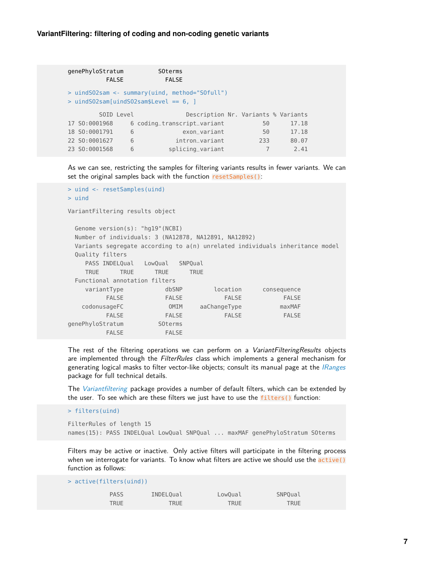| genePhyloStratum<br><b>FALSE</b>                                                           |   | <b>SOterms</b><br><b>FALSE</b>      |     |       |  |  |  |  |  |
|--------------------------------------------------------------------------------------------|---|-------------------------------------|-----|-------|--|--|--|--|--|
| > uindS02sam <- summary(uind, method="S0full")<br>$>$ uindS02sam[uindS02sam\$Level == 6, ] |   |                                     |     |       |  |  |  |  |  |
| SOID Level                                                                                 |   | Description Nr. Variants % Variants |     |       |  |  |  |  |  |
| 17 SO:0001968                                                                              |   | 6 coding_transcript_variant         | 50  | 17.18 |  |  |  |  |  |
| 18 SO:0001791                                                                              | 6 | exon_variant                        | 50  | 17.18 |  |  |  |  |  |
| 22 SO:0001627                                                                              | 6 | intron variant                      | 233 | 80.07 |  |  |  |  |  |
| 23 SO:0001568                                                                              | 6 | splicing_variant                    |     | 2.41  |  |  |  |  |  |

As we can see, restricting the samples for filtering variants results in fewer variants. We can set the original samples back with the function resetSamples():

```
> uind <- resetSamples(uind)
> uind
VariantFiltering results object
 Genome version(s): "hg19"(NCBI)
 Number of individuals: 3 (NA12878, NA12891, NA12892)
 Variants segregate according to a(n) unrelated individuals inheritance model
 Quality filters
   PASS INDELQual LowQual SNPQual
   TRUE TRUE TRUE TRUE
 Functional annotation filters
   variantType dbSNP location consequence
        FALSE FALSE FALSE FALSE
   codonusageFC OMIM aaChangeType maxMAF
        FALSE FALSE FALSE FALSE
genePhyloStratum SOterms
        FALSE FALSE
```
The rest of the filtering operations we can perform on a VariantFilteringResults objects are implemented through the FilterRules class which implements a general mechanism for generating logical masks to filter vector-like objects; consult its manual page at the *[IRanges](http://bioconductor.org/packages/IRanges)* package for full technical details.

The *[Variantfiltering](http://bioconductor.org/packages/Variantfiltering)* package provides a number of default filters, which can be extended by the user. To see which are these filters we just have to use the filters() function:

> filters(uind)

```
FilterRules of length 15
names(15): PASS INDELQual LowQual SNPQual ... maxMAF genePhyloStratum SOterms
```
Filters may be active or inactive. Only active filters will participate in the filtering process when we interrogate for variants. To know what filters are active we should use the active() function as follows:

| $>$ active(filters(uind)) |           |         |         |  |  |  |  |  |  |
|---------------------------|-----------|---------|---------|--|--|--|--|--|--|
| <b>PASS</b>               | INDELOual | LowOual | SNPOual |  |  |  |  |  |  |
| TRUE                      | TRUE      | TRUE    | TRUE    |  |  |  |  |  |  |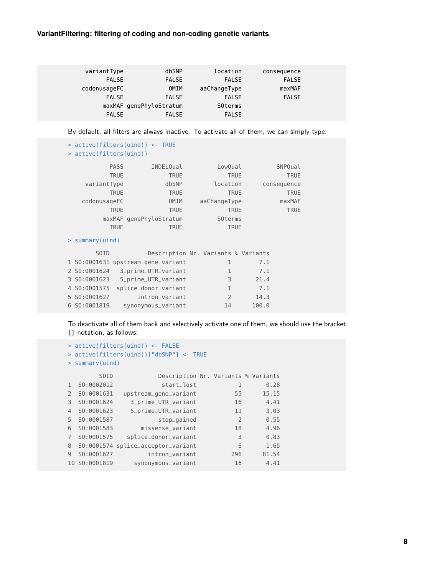| variantType  | dbSNP                   | location       | consequence  |  |
|--------------|-------------------------|----------------|--------------|--|
| <b>FALSE</b> | <b>FALSE</b>            | <b>FALSE</b>   | <b>FALSE</b> |  |
| codonusageFC | OMIM                    | aaChangeType   | maxMAF       |  |
| <b>FALSE</b> | <b>FALSE</b>            | <b>FALSE</b>   | <b>FALSE</b> |  |
|              | maxMAF genePhyloStratum | <b>SOterms</b> |              |  |
| <b>FALSE</b> | <b>FALSE</b>            | <b>FALSE</b>   |              |  |

By default, all filters are always inactive. To activate all of them, we can simply type:

```
> active(filters(uind)) <- TRUE
> active(filters(uind))
        PASS INDELQual LowQual SNPQual
       TRUE TRUE TRUE TRUE TRUE TRUE
   variantType dbSNP location consequence
       TRUE TRUE TRUE TRUE TRUE TRUE
  codonusageFC OMIM aaChangeType maxMAF
       TRUE TRUE TRUE TRUE TRUE
      maxMAF genePhyloStratum SOterms
       TRUE TRUE TRUE TRUE
> summary(uind)
     SOID Description Nr. Variants % Variants
1 SO:0001631 upstream_gene_variant 1 7.1
2 SO:0001624 3_prime_UTR_variant 1 7.1
3 SO:0001623 5_prime_UTR_variant 3 21.4
4 SO:0001575 splice_donor_variant 1 7.1
```
To deactivate all of them back and selectively activate one of them, we should use the bracket [] notation, as follows:

```
> active(filters(uind)) <- FALSE
> active(filters(uind))["dbSNP"] <- TRUE
> summary(uind)
      SOID Description Nr. Variants % Variants
1 SO:0002012 start_lost 1 0.28
2 SO:0001631 upstream_gene_variant 55 15.15
3 SO:0001624 3_prime_UTR_variant 16 4.41
4 SO:0001623 5_prime_UTR_variant 11 3.03
5 SO:0001587 stop_gained 2 0.55
6 SO:0001583 missense_variant 18 4.96
7 SO:0001575 splice_donor_variant 3 0.83
8 SO:0001574 splice_acceptor_variant 6 1.65
9 SO:0001627 intron_variant 296 81.54
10 SO:0001819 synonymous_variant 16 4.41
```
5 SO:0001627 intron\_variant 2 14.3 6 SO:0001819 synonymous\_variant 14 100.0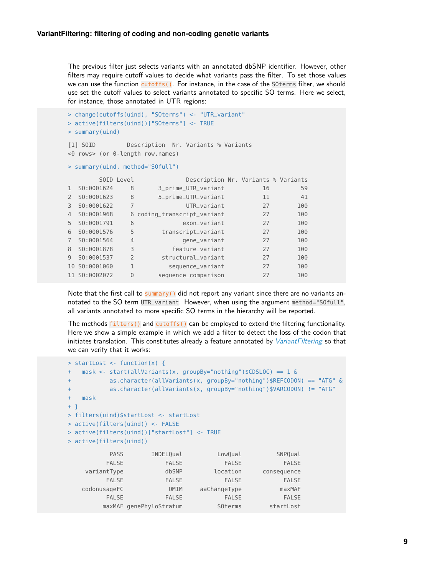The previous filter just selects variants with an annotated dbSNP identifier. However, other filters may require cutoff values to decide what variants pass the filter. To set those values we can use the function cutoffs(). For instance, in the case of the SOterms filter, we should use set the cutoff values to select variants annotated to specific SO terms. Here we select, for instance, those annotated in UTR regions:

```
> change(cutoffs(uind), "SOterms") <- "UTR_variant"
> active(filters(uind))["SOterms"] <- TRUE
> summary(uind)
[1] SOID Description Nr. Variants % Variants
<0 rows> (or 0-length row.names)
> summary(uind, method="SOfull")
      SOID Level Description Nr. Variants % Variants
1 SO:0001624 8 3_prime_UTR_variant 16 59
2 SO:0001623 8 5_prime_UTR_variant 11 41
3 SO:0001622 7 UTR_variant 27 100
4 SO:0001968 6 coding_transcript_variant 27 100
5 SO:0001791 6 exon_variant 27 100
6 SO:0001576 5 transcript_variant 27 100
7 SO:0001564 4 gene_variant 27 100
8 SO:0001878 3 feature_variant 27 100
9 SO:0001537 2 structural_variant 27 100
10 SO:0001060 1 sequence_variant 27 100
11 SO:0002072 0 sequence_comparison 27 100
```
Note that the first call to summary() did not report any variant since there are no variants annotated to the SO term UTR\_variant. However, when using the argument method="S0full", all variants annotated to more specific SO terms in the hierarchy will be reported.

The methods filters() and cutoffs() can be employed to extend the filtering functionality. Here we show a simple example in which we add a filter to detect the loss of the codon that initiates translation. This constitutes already a feature annotated by [VariantFiltering](http://bioconductor.org/packages/VariantFiltering) so that we can verify that it works:

```
> startLost <- function(x) {
+ mask <- start(allVariants(x, groupBy="nothing")$CDSLOC) == 1 &
+ as.character(allVariants(x, groupBy="nothing")$REFCODON) == "ATG" &
+ as.character(allVariants(x, groupBy="nothing")$VARCODON) != "ATG"
+ mask
+ }
> filters(uind)$startLost <- startLost
> active(filters(uind)) <- FALSE
> active(filters(uind))["startLost"] <- TRUE
> active(filters(uind))
         PASS INDELQual LowQual SNPQual
        FALSE FALSE FALSE FALSE
   variantType dbSNP location consequence
        FALSE FALSE FALSE FALSE
   codonusageFC OMIM aaChangeType maxMAF
        FALSE FALSE FALSE FALSE
       maxMAF genePhyloStratum SOterms startLost
```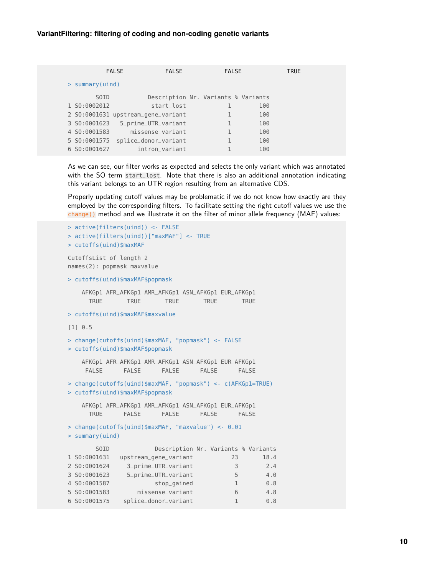|                    | <b>FALSE</b><br><b>FALSE</b>        | <b>FALSE</b> |     | <b>TRUE</b> |  |
|--------------------|-------------------------------------|--------------|-----|-------------|--|
| $>$ summary (uind) |                                     |              |     |             |  |
| SOID               | Description Nr. Variants % Variants |              |     |             |  |
| 1 SO:0002012       | start lost                          |              | 100 |             |  |
|                    | 2 S0:0001631 upstream_gene_variant  |              | 100 |             |  |
| 3 S0:0001623       | 5_prime_UTR_variant                 |              | 100 |             |  |
| 4 SO:0001583       | missense variant                    |              | 100 |             |  |
| 5 SO:0001575       | splice_donor_variant                |              | 100 |             |  |
| 6 SO:0001627       | intron variant                      |              | 100 |             |  |

As we can see, our filter works as expected and selects the only variant which was annotated with the SO term start\_lost. Note that there is also an additional annotation indicating this variant belongs to an UTR region resulting from an alternative CDS.

Properly updating cutoff values may be problematic if we do not know how exactly are they employed by the corresponding filters. To facilitate setting the right cutoff values we use the change() method and we illustrate it on the filter of minor allele frequency (MAF) values:

```
> active(filters(uind)) <- FALSE
> active(filters(uind))["maxMAF"] <- TRUE
> cutoffs(uind)$maxMAF
CutoffsList of length 2
names(2): popmask maxvalue
> cutoffs(uind)$maxMAF$popmask
   AFKGp1 AFR_AFKGp1 AMR_AFKGp1 ASN_AFKGp1 EUR_AFKGp1
     TRUE TRUE TRUE TRUE TRUE
> cutoffs(uind)$maxMAF$maxvalue
[1] 0.5
> change(cutoffs(uind)$maxMAF, "popmask") <- FALSE
> cutoffs(uind)$maxMAF$popmask
   AFKGp1 AFR_AFKGp1 AMR_AFKGp1 ASN_AFKGp1 EUR_AFKGp1
    FALSE FALSE FALSE FALSE FALSE
> change(cutoffs(uind)$maxMAF, "popmask") <- c(AFKGp1=TRUE)
> cutoffs(uind)$maxMAF$popmask
   AFKGp1 AFR_AFKGp1 AMR_AFKGp1 ASN_AFKGp1 EUR_AFKGp1
     TRUE FALSE FALSE FALSE FALSE
> change(cutoffs(uind)$maxMAF, "maxvalue") <- 0.01
> summary(uind)
      SOID Description Nr. Variants % Variants
1 SO:0001631 upstream_gene_variant 23 18.4
2 SO:0001624 3_prime_UTR_variant 3 2.4
3 SO:0001623 5_prime_UTR_variant 5 4.0
4 SO:0001587 stop_gained 1 0.8
5 SO:0001583 missense_variant 6 4.8
6 SO:0001575 splice_donor_variant 1 0.8
```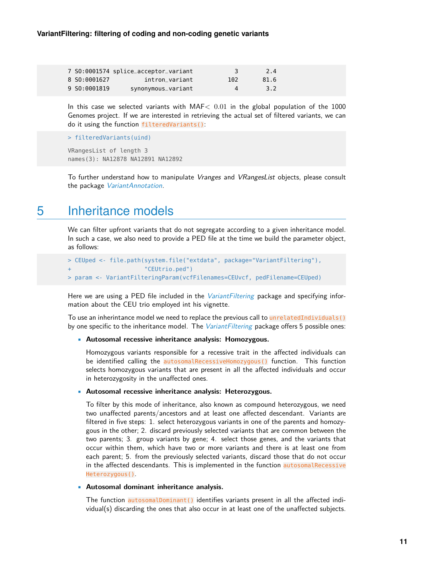|              | 7 SO:0001574 splice_acceptor_variant |              | 2.4  |  |
|--------------|--------------------------------------|--------------|------|--|
| 8 SO:0001627 | intron variant                       | 102          | 81.6 |  |
| 9 SO:0001819 | synonymous_variant                   | $\mathbf{A}$ | 3.2  |  |

In this case we selected variants with  $MAF < 0.01$  in the global population of the 1000 Genomes project. If we are interested in retrieving the actual set of filtered variants, we can do it using the function filteredVariants():

```
> filteredVariants(uind)
```

```
VRangesList of length 3
names(3): NA12878 NA12891 NA12892
```
To further understand how to manipulate Vranges and VRangesList objects, please consult the package [VariantAnnotation](http://bioconductor.org/packages/VariantAnnotation).

### 5 Inheritance models

We can filter upfront variants that do not segregate according to a given inheritance model. In such a case, we also need to provide a PED file at the time we build the parameter object, as follows:

```
> CEUped <- file.path(system.file("extdata", package="VariantFiltering"),
+ "CEUtrio.ped")
> param <- VariantFilteringParam(vcfFilenames=CEUvcf, pedFilename=CEUped)
```
Here we are using a PED file included in the *[VariantFiltering](http://bioconductor.org/packages/VariantFiltering)* package and specifying information about the CEU trio employed int his vignette.

To use an inherintance model we need to replace the previous call to unrelatedIndividuals() by one specific to the inheritance model. The [VariantFiltering](http://bioconductor.org/packages/VariantFiltering) package offers 5 possible ones:

#### • **Autosomal recessive inheritance analysis: Homozygous.**

Homozygous variants responsible for a recessive trait in the affected individuals can be identified calling the autosomalRecessiveHomozygous() function. This function selects homozygous variants that are present in all the affected individuals and occur in heterozygosity in the unaffected ones.

#### • **Autosomal recessive inheritance analysis: Heterozygous.**

To filter by this mode of inheritance, also known as compound heterozygous, we need two unaffected parents/ancestors and at least one affected descendant. Variants are filtered in five steps: 1. select heterozygous variants in one of the parents and homozygous in the other; 2. discard previously selected variants that are common between the two parents; 3. group variants by gene; 4. select those genes, and the variants that occur within them, which have two or more variants and there is at least one from each parent; 5. from the previously selected variants, discard those that do not occur in the affected descendants. This is implemented in the function autosomalRecessive Heterozygous().

#### • **Autosomal dominant inheritance analysis.**

The function autosomalDominant() identifies variants present in all the affected individual(s) discarding the ones that also occur in at least one of the unaffected subjects.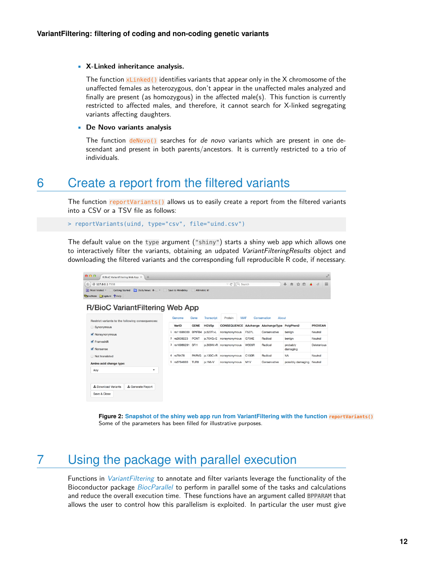#### • **X-Linked inheritance analysis.**

The function xLinked() identifies variants that appear only in the X chromosome of the unaffected females as heterozygous, don't appear in the unaffected males analyzed and finally are present (as homozygous) in the affected male(s). This function is currently restricted to affected males, and therefore, it cannot search for X-linked segregating variants affecting daughters.

#### • **De Novo variants analysis**

The function  $deNovo()$  searches for *de novo* variants which are present in one descendant and present in both parents/ancestors. It is currently restricted to a trio of individuals.

### 6 Create a report from the filtered variants

The function reportVariants() allows us to easily create a report from the filtered variants into a CSV or a TSV file as follows:

```
> reportVariants(uind, type="csv", file="uind.csv")
```
The default value on the type argument ("shiny") starts a shiny web app which allows one to interactively filter the variants, obtaining an udpated VariantFilteringResults object and downloading the filtered variants and the corresponding full reproducible R code, if necessary.

| 000<br>R/BioC VariantFiltering Web App $\frac{1}{x}$ +                                                                                                                                                                        |                                                     |             |          |
|-------------------------------------------------------------------------------------------------------------------------------------------------------------------------------------------------------------------------------|-----------------------------------------------------|-------------|----------|
| $($ $($ $)$ $($ $)$ 127.0.0.1:7558                                                                                                                                                                                            | $\triangledown$ C <sup>d</sup> $\bigcirc$ (Q Search | → 合 ☆ 自 4 4 | $\equiv$ |
| Most Visited " Getting Started Daily News: R- " Save to Mendeley<br>Altmetric it!                                                                                                                                             |                                                     |             |          |
| the company of the company of the company of the company of the company of the company of the company of the company of the company of the company of the company of the company of the company of the company of the company |                                                     |             |          |

#### R/BioC VariantFiltering Web App

| Restrict variants to the following consequences: |   | Genome      | Gene             | Transcript   | Protein                |                  | <b>MAF</b><br>Conservation<br>About |                      |                |  |
|--------------------------------------------------|---|-------------|------------------|--------------|------------------------|------------------|-------------------------------------|----------------------|----------------|--|
| Synonymous                                       |   | VarID       | <b>GENE</b>      | <b>HGVSp</b> | <b>CONSEQUENCE</b>     |                  | AAchange AAchangeType               | PolyPhen2            | <b>PROVEAN</b> |  |
| Nonsynonymous                                    |   | rs11699009  | BPIFB4           | p.527F>L     | nonsynonymous          | <b>F527L</b>     | Conservative                        | benian               | Neutral        |  |
| $\blacktriangleright$ Frameshift                 | 2 | rs2839223   | <b>PCNT</b>      | p.704G>E     | nonsynonymous          | <b>G704E</b>     | Radical                             | benign               | Neutral        |  |
| Monsense                                         | 3 | rs16989291  | SF <sub>11</sub> |              | p.306W>R nonsynonymous | <b>W306R</b>     | Radical                             | probably<br>damaging | Deleterious    |  |
| Not translated                                   |   | 4 rs79478   | <b>PARVG</b>     | p.130C > R   | nonsynonymous          | C130R            | Radical                             | <b>NA</b>            | Neutral        |  |
| Amino acid change type:                          |   | 5 rs3764880 | TLR8             | p.1M > V     | nonsynonymous          | M <sub>1</sub> V | Conservative                        | possibly damaging    | Neutral        |  |
| Any<br>$\checkmark$                              |   |             |                  |              |                        |                  |                                     |                      |                |  |
| & Download Variants<br><b>上 Generate Report</b>  |   |             |                  |              |                        |                  |                                     |                      |                |  |
| Save & Close                                     |   |             |                  |              |                        |                  |                                     |                      |                |  |

**Figure 2: Snapshot of the shiny web app run from VariantFiltering with the function reportVariants()** Some of the parameters has been filled for illustrative purposes.

# 7 Using the package with parallel execution

Functions in *[VariantFiltering](http://bioconductor.org/packages/VariantFiltering)* to annotate and filter variants leverage the functionality of the Bioconductor package [BiocParallel](http://bioconductor.org/packages/BiocParallel) to perform in parallel some of the tasks and calculations and reduce the overall execution time. These functions have an argument called BPPARAM that allows the user to control how this parallelism is exploited. In particular the user must give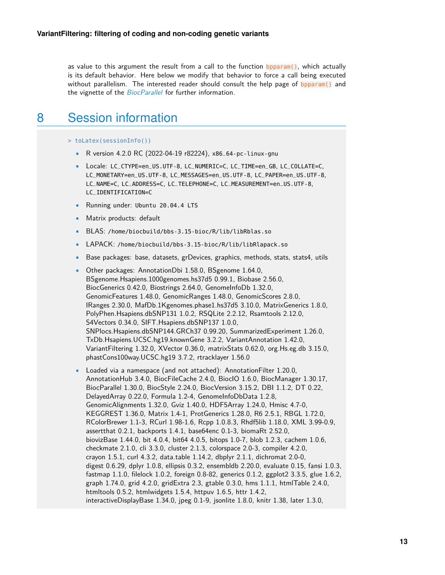as value to this argument the result from a call to the function bpparam(), which actually is its default behavior. Here below we modify that behavior to force a call being executed without parallelism. The interested reader should consult the help page of bpparam() and the vignette of the *[BiocParallel](http://bioconductor.org/packages/BiocParallel)* for further information.

## 8 Session information

> toLatex(sessionInfo())

- R version 4.2.0 RC (2022-04-19 r82224), x86\_64-pc-linux-gnu
- Locale: LC\_CTYPE=en\_US.UTF-8, LC\_NUMERIC=C, LC\_TIME=en\_GB, LC\_COLLATE=C, LC\_MONETARY=en\_US.UTF-8, LC\_MESSAGES=en\_US.UTF-8, LC\_PAPER=en\_US.UTF-8, LC\_NAME=C, LC\_ADDRESS=C, LC\_TELEPHONE=C, LC\_MEASUREMENT=en\_US.UTF-8, LC\_IDENTIFICATION=C
- Running under: Ubuntu 20.04.4 LTS
- Matrix products: default
- BLAS: /home/biocbuild/bbs-3.15-bioc/R/lib/libRblas.so
- LAPACK: /home/biocbuild/bbs-3.15-bioc/R/lib/libRlapack.so
- Base packages: base, datasets, grDevices, graphics, methods, stats, stats4, utils
- Other packages: AnnotationDbi 1.58.0, BSgenome 1.64.0, BSgenome.Hsapiens.1000genomes.hs37d5 0.99.1, Biobase 2.56.0, BiocGenerics 0.42.0, Biostrings 2.64.0, GenomeInfoDb 1.32.0, GenomicFeatures 1.48.0, GenomicRanges 1.48.0, GenomicScores 2.8.0, IRanges 2.30.0, MafDb.1Kgenomes.phase1.hs37d5 3.10.0, MatrixGenerics 1.8.0, PolyPhen.Hsapiens.dbSNP131 1.0.2, RSQLite 2.2.12, Rsamtools 2.12.0, S4Vectors 0.34.0, SIFT.Hsapiens.dbSNP137 1.0.0, SNPlocs.Hsapiens.dbSNP144.GRCh37 0.99.20, SummarizedExperiment 1.26.0, TxDb.Hsapiens.UCSC.hg19.knownGene 3.2.2, VariantAnnotation 1.42.0, VariantFiltering 1.32.0, XVector 0.36.0, matrixStats 0.62.0, org.Hs.eg.db 3.15.0, phastCons100way.UCSC.hg19 3.7.2, rtracklayer 1.56.0
- Loaded via a namespace (and not attached): AnnotationFilter 1.20.0, AnnotationHub 3.4.0, BiocFileCache 2.4.0, BiocIO 1.6.0, BiocManager 1.30.17, BiocParallel 1.30.0, BiocStyle 2.24.0, BiocVersion 3.15.2, DBI 1.1.2, DT 0.22, DelayedArray 0.22.0, Formula 1.2-4, GenomeInfoDbData 1.2.8, GenomicAlignments 1.32.0, Gviz 1.40.0, HDF5Array 1.24.0, Hmisc 4.7-0, KEGGREST 1.36.0, Matrix 1.4-1, ProtGenerics 1.28.0, R6 2.5.1, RBGL 1.72.0, RColorBrewer 1.1-3, RCurl 1.98-1.6, Rcpp 1.0.8.3, Rhdf5lib 1.18.0, XML 3.99-0.9, assertthat 0.2.1, backports 1.4.1, base64enc 0.1-3, biomaRt 2.52.0, biovizBase 1.44.0, bit 4.0.4, bit64 4.0.5, bitops 1.0-7, blob 1.2.3, cachem 1.0.6, checkmate 2.1.0, cli 3.3.0, cluster 2.1.3, colorspace 2.0-3, compiler 4.2.0, crayon 1.5.1, curl 4.3.2, data.table 1.14.2, dbplyr 2.1.1, dichromat 2.0-0, digest 0.6.29, dplyr 1.0.8, ellipsis 0.3.2, ensembldb 2.20.0, evaluate 0.15, fansi 1.0.3, fastmap 1.1.0, filelock 1.0.2, foreign 0.8-82, generics 0.1.2, ggplot2 3.3.5, glue 1.6.2, graph 1.74.0, grid 4.2.0, gridExtra 2.3, gtable 0.3.0, hms 1.1.1, htmlTable 2.4.0, htmltools 0.5.2, htmlwidgets 1.5.4, httpuv 1.6.5, httr 1.4.2, interactiveDisplayBase 1.34.0, jpeg 0.1-9, jsonlite 1.8.0, knitr 1.38, later 1.3.0,